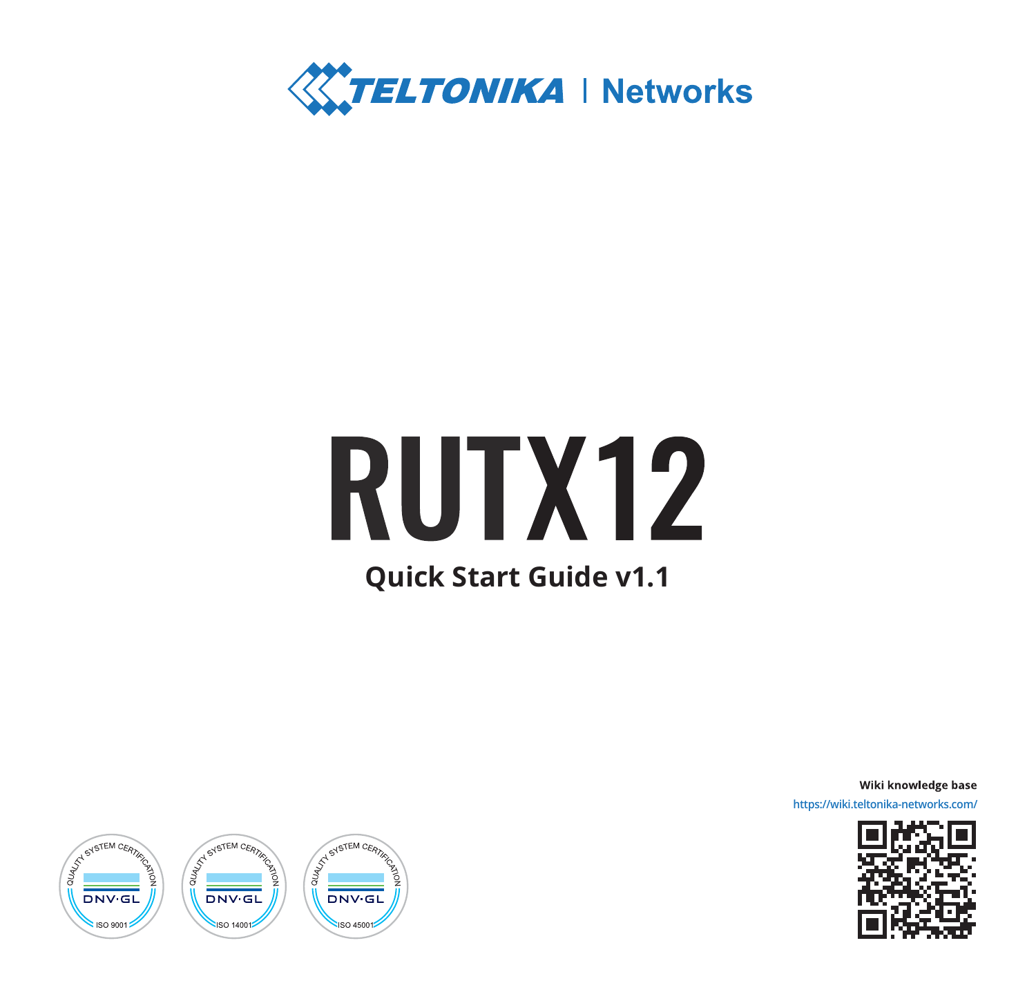

# **RUTX12 Quick Start Guide v1.1**

Wiki knowledge base **https://wiki.teltonika-networks.com/**



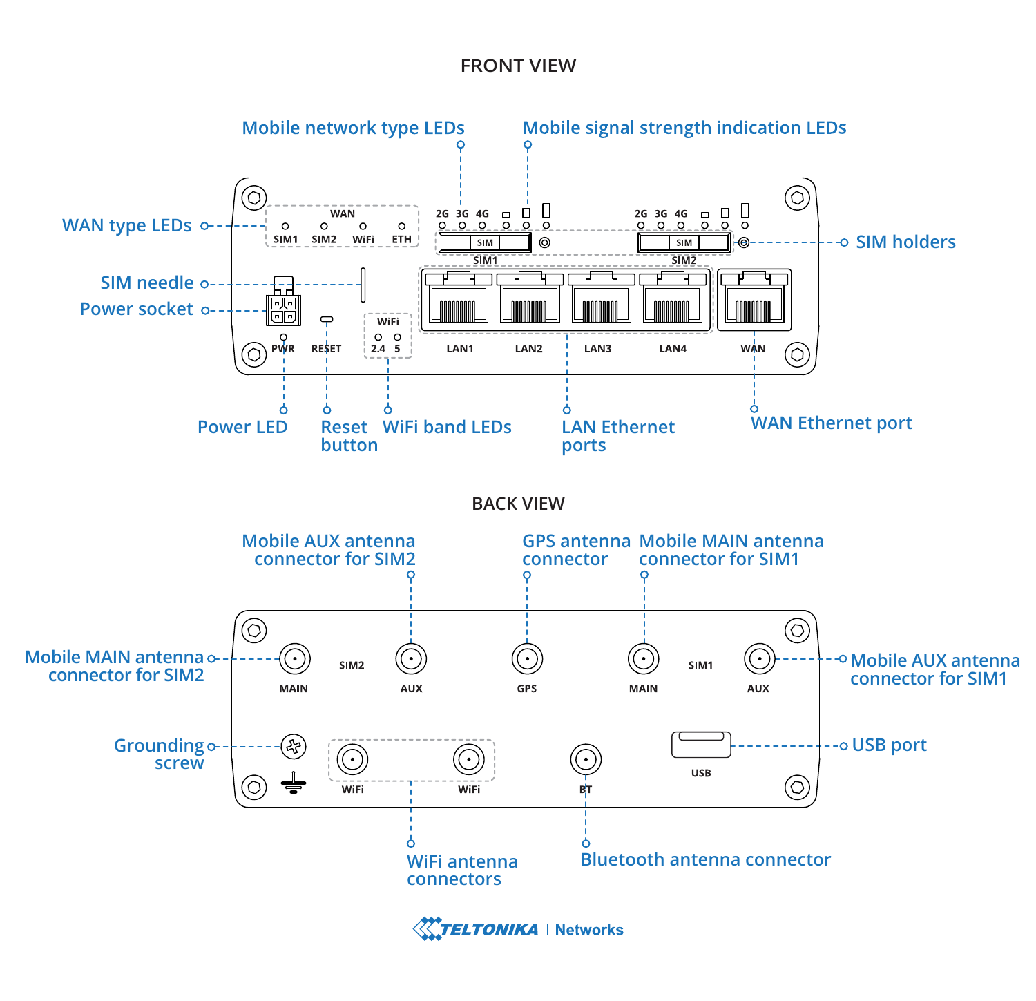#### **FRONT VIEW**



**TELTONIKA** | Networks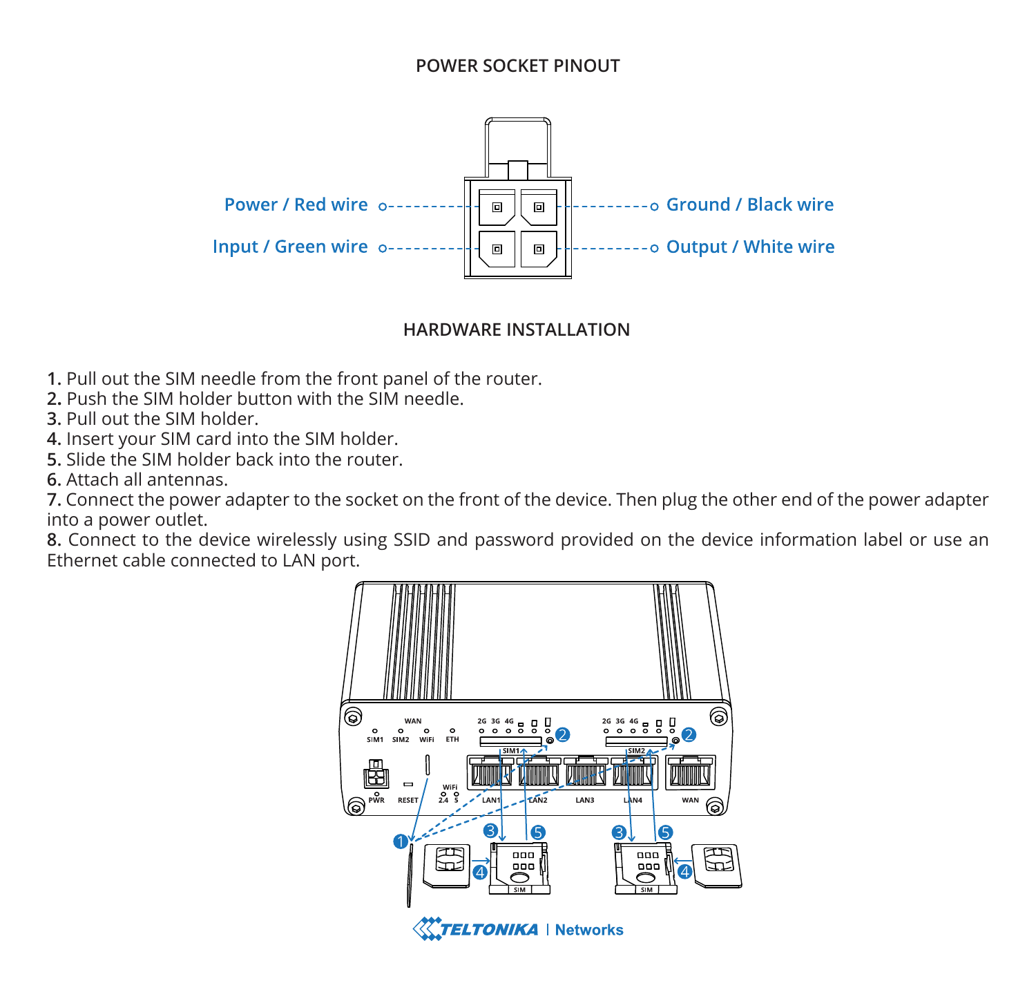### **POWER SOCKET PINOUT**



#### **HARDWARE INSTALLATION**

- **1.** Pull out the SIM needle from the front panel of the router.
- **2.** Push the SIM holder button with the SIM needle.
- **3.** Pull out the SIM holder.
- **4.** Insert your SIM card into the SIM holder.
- **5.** Slide the SIM holder back into the router.
- **6.** Attach all antennas.

**7.** Connect the power adapter to the socket on the front of the device. Then plug the other end of the power adapter into a power outlet.

**8.** Connect to the device wirelessly using SSID and password provided on the device information label or use an Ethernet cable connected to LAN port.

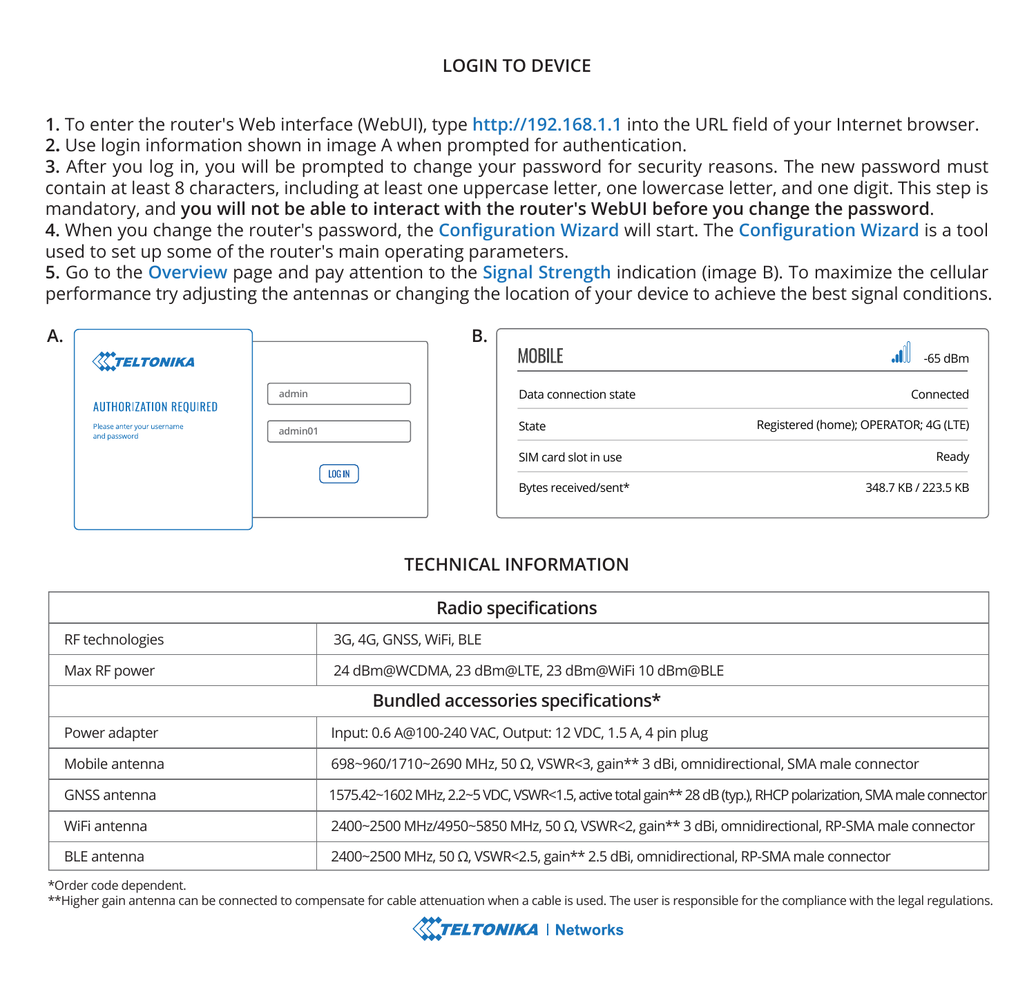## **LOGIN TO DEVICE**

**1.** To enter the router's Web interface (WebUI), type **http://192.168.1.1** into the URL field of your Internet browser.

**2.** Use login information shown in image A when prompted for authentication.

**3.** After you log in, you will be prompted to change your password for security reasons. The new password must contain at least 8 characters, including at least one uppercase letter, one lowercase letter, and one digit. This step is mandatory, and **you will not be able to interact with the router's WebUI before you change the password**.

**4.** When you change the router's password, the **Configuration Wizard** will start. The **Configuration Wizard** is a tool used to set up some of the router's main operating parameters.

**5.** Go to the **Overview** page and pay attention to the **Signal Strength** indication (image B). To maximize the cellular performance try adjusting the antennas or changing the location of your device to achieve the best signal conditions.

| А.<br><b>X</b> TELTONIKA                   |               | В. | MOBILE                | -65 dBm                               |
|--------------------------------------------|---------------|----|-----------------------|---------------------------------------|
| <b>AUTHORIZATION REQUIRED</b>              | admin         |    | Data connection state | Connected                             |
| Please anter your username<br>and password | admin01       |    | State                 | Registered (home); OPERATOR; 4G (LTE) |
|                                            | <b>LOG IN</b> |    | SIM card slot in use  | Ready                                 |
|                                            |               |    | Bytes received/sent*  | 348.7 KB / 223.5 KB                   |

## **TECHNICAL INFORMATION**

| Radio specifications                |                                                                                                                |  |  |  |
|-------------------------------------|----------------------------------------------------------------------------------------------------------------|--|--|--|
| RF technologies                     | 3G, 4G, GNSS, WiFi, BLE                                                                                        |  |  |  |
| Max RF power                        | 24 dBm@WCDMA, 23 dBm@LTE, 23 dBm@WiFi 10 dBm@BLE                                                               |  |  |  |
| Bundled accessories specifications* |                                                                                                                |  |  |  |
| Power adapter                       | Input: 0.6 A@100-240 VAC, Output: 12 VDC, 1.5 A, 4 pin plug                                                    |  |  |  |
| Mobile antenna                      | 698~960/1710~2690 MHz, 50 Ω, VSWR<3, gain** 3 dBi, omnidirectional, SMA male connector                         |  |  |  |
| GNSS antenna                        | 1575.42~1602 MHz, 2.2~5 VDC, VSWR<1.5, active total gain** 28 dB (typ.), RHCP polarization, SMA male connector |  |  |  |
| WiFi antenna                        | 2400~2500 MHz/4950~5850 MHz, 50 Ω, VSWR<2, gain** 3 dBi, omnidirectional, RP-SMA male connector                |  |  |  |
| <b>BLE</b> antenna                  | $2400~2500$ MHz, 50 Ω, VSWR<2.5, gain** 2.5 dBi, omnidirectional, RP-SMA male connector                        |  |  |  |

\*Order code dependent.

\*\*Higher gain antenna can be connected to compensate for cable attenuation when a cable is used. The user is responsible for the compliance with the legal regulations.

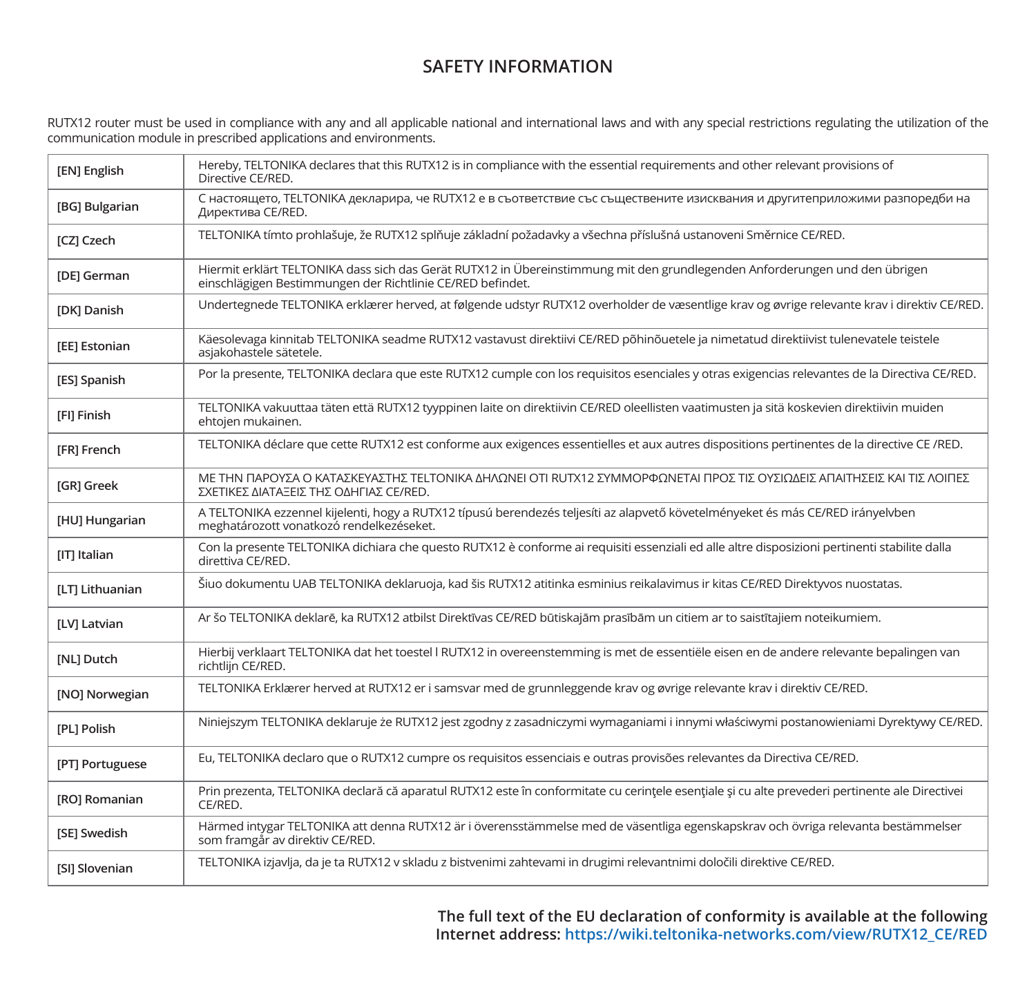## **SAFETY INFORMATION**

RUTX12 router must be used in compliance with any and all applicable national and international laws and with any special restrictions regulating the utilization of the<br>communication module in prescribed applications and e

| [EN] English          | Hereby, TELTONIKA declares that this RUTX12 is in compliance with the essential requirements and other relevant provisions of<br>Directive CE/RED.                                        |
|-----------------------|-------------------------------------------------------------------------------------------------------------------------------------------------------------------------------------------|
| [BG] Bulgarian        | С настоящето, TELTONIKA декларира, че RUTX12 е в съответствие със съществените изисквания и другитеприложими разпоредби на<br>Директива CE/RED.                                           |
| [CZ] Czech            | TELTONIKA tímto prohlašuje, že RUTX12 splňuje základní požadavky a všechna příslušná ustanoveni Směrnice CE/RED.                                                                          |
| [DE] German           | Hiermit erklärt TELTONIKA dass sich das Gerät RUTX12 in Übereinstimmung mit den grundlegenden Anforderungen und den übrigen<br>einschlägigen Bestimmungen der Richtlinie CE/RED befindet. |
| [DK] Danish           | Undertegnede TELTONIKA erklærer herved, at følgende udstyr RUTX12 overholder de væsentlige krav og øvrige relevante krav i direktiv CE/RED.                                               |
| [EE] Estonian         | Käesolevaga kinnitab TELTONIKA seadme RUTX12 vastavust direktiivi CE/RED põhinõuetele ja nimetatud direktiivist tulenevatele teistele<br>asiakohastele sätetele.                          |
| [ES] Spanish          | Por la presente, TELTONIKA declara que este RUTX12 cumple con los requisitos esenciales y otras exigencias relevantes de la Directiva CE/RED.                                             |
| [FI] Finish           | TELTONIKA vakuuttaa täten että RUTX12 tyyppinen laite on direktiivin CE/RED oleellisten vaatimusten ja sitä koskevien direktiivin muiden<br>ehtojen mukainen.                             |
| <b>IFRI French</b>    | TELTONIKA déclare que cette RUTX12 est conforme aux exigences essentielles et aux autres dispositions pertinentes de la directive CE /RED.                                                |
| <b>IGRI Greek</b>     | ΜΕ ΤΗΝ ΠΑΡΟΥΣΑ Ο ΚΑΤΑΣΚΕΥΑΣΤΗΣ ΤΕLΤΟΝΙΚΑ ΔΗΛΩΝΕΙ ΟΤΙ RUTX12 ΣΥΜΜΟΡΦΩΝΕΤΑΙ ΠΡΟΣ ΤΙΣ ΟΥΣΙΩΔΕΙΣ ΑΠΑΙΤΗΣΕΙΣ ΚΑΙ ΤΙΣ ΛΟΙΠΕΣ<br>ΣΧΕΤΙΚΕΣ ΔΙΑΤΑΞΕΙΣ ΤΗΣ ΟΔΗΓΙΑΣ CE/RED.                          |
| [HU] Hungarian        | A TELTONIKA ezzennel kijelenti, hogy a RUTX12 típusú berendezés teljesíti az alapvető követelményeket és más CE/RED irányelvben<br>meghatározott vonatkozó rendelkezéseket.               |
| [IT] Italian          | Con la presente TELTONIKA dichiara che questo RUTX12 è conforme ai requisiti essenziali ed alle altre disposizioni pertinenti stabilite dalla<br>direttiva CE/RED.                        |
| [LT] Lithuanian       | Šiuo dokumentu UAB TELTONIKA deklaruoja, kad šis RUTX12 atitinka esminius reikalavimus ir kitas CE/RED Direktyvos nuostatas.                                                              |
| [LV] Latvian          | Ar šo TELTONIKA deklarē, ka RUTX12 atbilst Direktīvas CE/RED būtiskajām prasībām un citiem ar to saistītajiem noteikumiem.                                                                |
| [NL] Dutch            | Hierbij verklaart TELTONIKA dat het toestel I RUTX12 in overeenstemming is met de essentiële eisen en de andere relevante bepalingen van<br>richtliin CE/RED.                             |
| [NO] Norwegian        | TELTONIKA Erklærer herved at RUTX12 er i samsvar med de grunnleggende krav og øvrige relevante krav i direktiv CE/RED.                                                                    |
| [PL] Polish           | Niniejszym TELTONIKA deklaruje że RUTX12 jest zgodny z zasadniczymi wymaganiami i innymi właściwymi postanowieniami Dyrektywy CE/RED.                                                     |
| [PT] Portuguese       | Eu, TELTONIKA declaro que o RUTX12 cumpre os requisitos essenciais e outras provisões relevantes da Directiva CE/RED.                                                                     |
| [RO] Romanian         | Prin prezenta, TELTONIKA declară că aparatul RUTX12 este în conformitate cu cerințele esențiale și cu alte prevederi pertinente ale Directivei<br>CE/RED.                                 |
| [SE] Swedish          | Härmed intygar TELTONIKA att denna RUTX12 är i överensstämmelse med de väsentliga egenskapskrav och övriga relevanta bestämmelser<br>som framgår av direktiv CE/RED.                      |
| <b>ISII Slovenian</b> | TELTONIKA izjavlja, da je ta RUTX12 v skladu z bistvenimi zahtevami in drugimi relevantnimi določili direktive CE/RED.                                                                    |

**The full text of the EU declaration of conformity is available at the following Internet address: https://wiki.teltonika-networks.com/view/RUTX12\_CE/RED**